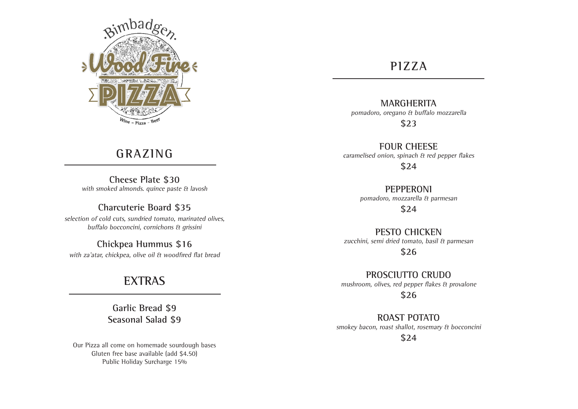

# **GRAZING**

**Cheese Plate \$30** with smoked almonds. quince paste & lavosh

## **Charcuterie Board \$35**

selection of cold cuts, sundried tomato, marinated olives, buffalo bocconcini, cornichons & grissini

# **Chickpea Hummus \$16**

with za'atar, chickpea, olive oil & woodfired flat bread

# **EXTRAS**

**Garlic Bread \$9 Seasonal Salad \$9**

Our Pizza all come on homemade sourdough bases Gluten free base available (add \$4.50) Public Holiday Surcharge 15%

## **PIZZA**

**MARGHERITA**  pomadoro, oregano & buffalo mozzarella

**\$23**

**FOUR CHEESE**  caramelised onion, spinach & red pepper flakes

**\$24**

**PEPPERONI**  pomadoro, mozzarella & parmesan

**\$24**

### **PESTO CHICKEN**

zucchini, semi dried tomato, basil & parmesan

**\$26**

**PROSCIUTTO CRUDO** mushroom, olives, red pepper flakes & provalone

**\$26**

**ROAST POTATO** smokey bacon, roast shallot, rosemary & bocconcini

**\$24**